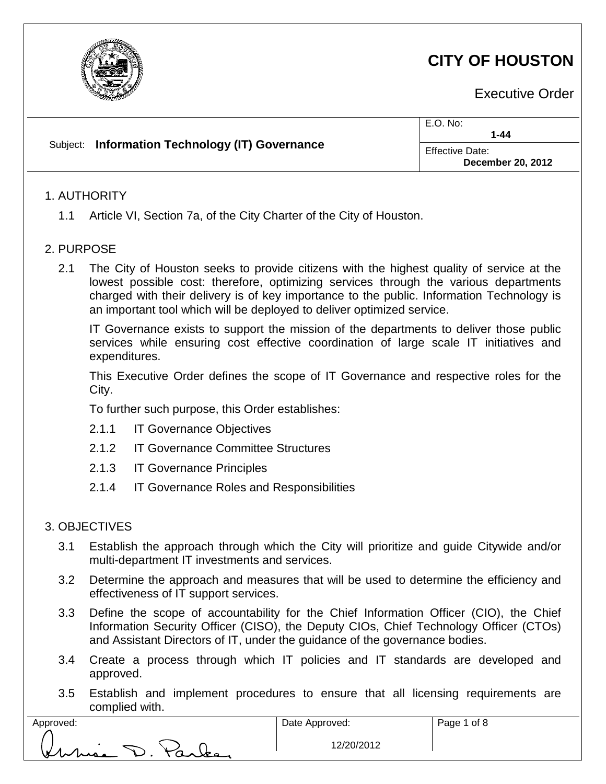

# **CITY OF HOUSTON**

Executive Order

|  | Subject: Information Technology (IT) Governance | E.O. No:<br>$1 - 44$                               |
|--|-------------------------------------------------|----------------------------------------------------|
|  |                                                 | <b>Effective Date:</b><br><b>December 20, 2012</b> |
|  |                                                 |                                                    |

## 1. AUTHORITY

1.1 Article VI, Section 7a, of the City Charter of the City of Houston.

## 2. PURPOSE

2.1 The City of Houston seeks to provide citizens with the highest quality of service at the lowest possible cost: therefore, optimizing services through the various departments charged with their delivery is of key importance to the public. Information Technology is an important tool which will be deployed to deliver optimized service.

IT Governance exists to support the mission of the departments to deliver those public services while ensuring cost effective coordination of large scale IT initiatives and expenditures.

This Executive Order defines the scope of IT Governance and respective roles for the City.

To further such purpose, this Order establishes:

- 2.1.1 IT Governance Objectives
- 2.1.2 IT Governance Committee Structures
- 2.1.3 IT Governance Principles
- 2.1.4 IT Governance Roles and Responsibilities

## 3. OBJECTIVES

- 3.1 Establish the approach through which the City will prioritize and guide Citywide and/or multi-department IT investments and services.
- 3.2 Determine the approach and measures that will be used to determine the efficiency and effectiveness of IT support services.
- 3.3 Define the scope of accountability for the Chief Information Officer (CIO), the Chief Information Security Officer (CISO), the Deputy CIOs, Chief Technology Officer (CTOs) and Assistant Directors of IT, under the guidance of the governance bodies.
- 3.4 Create a process through which IT policies and IT standards are developed and approved.
- 3.5 Establish and implement procedures to ensure that all licensing requirements are complied with.

| Approved: |       |
|-----------|-------|
|           |       |
|           |       |
| Kuris -   | Parle |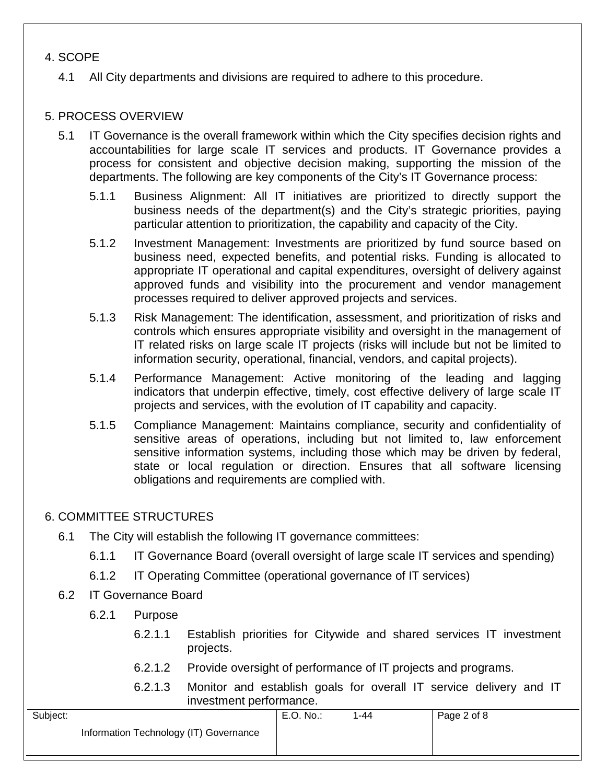## 4. SCOPE

4.1 All City departments and divisions are required to adhere to this procedure.

## 5. PROCESS OVERVIEW

- 5.1 IT Governance is the overall framework within which the City specifies decision rights and accountabilities for large scale IT services and products. IT Governance provides a process for consistent and objective decision making, supporting the mission of the departments. The following are key components of the City's IT Governance process:
	- 5.1.1 Business Alignment: All IT initiatives are prioritized to directly support the business needs of the department(s) and the City's strategic priorities, paying particular attention to prioritization, the capability and capacity of the City.
	- 5.1.2 Investment Management: Investments are prioritized by fund source based on business need, expected benefits, and potential risks. Funding is allocated to appropriate IT operational and capital expenditures, oversight of delivery against approved funds and visibility into the procurement and vendor management processes required to deliver approved projects and services.
	- 5.1.3 Risk Management: The identification, assessment, and prioritization of risks and controls which ensures appropriate visibility and oversight in the management of IT related risks on large scale IT projects (risks will include but not be limited to information security, operational, financial, vendors, and capital projects).
	- 5.1.4 Performance Management: Active monitoring of the leading and lagging indicators that underpin effective, timely, cost effective delivery of large scale IT projects and services, with the evolution of IT capability and capacity.
	- 5.1.5 Compliance Management: Maintains compliance, security and confidentiality of sensitive areas of operations, including but not limited to, law enforcement sensitive information systems, including those which may be driven by federal, state or local regulation or direction. Ensures that all software licensing obligations and requirements are complied with.

### 6. COMMITTEE STRUCTURES

- 6.1 The City will establish the following IT governance committees:
	- 6.1.1 IT Governance Board (overall oversight of large scale IT services and spending)
	- 6.1.2 IT Operating Committee (operational governance of IT services)
- 6.2 IT Governance Board
	- 6.2.1 Purpose
		- 6.2.1.1 Establish priorities for Citywide and shared services IT investment projects.
		- 6.2.1.2 Provide oversight of performance of IT projects and programs.
		- 6.2.1.3 Monitor and establish goals for overall IT service delivery and IT investment performance.

| Subject:                               | E.O. No.: | -44 | Page 2 of 8 |
|----------------------------------------|-----------|-----|-------------|
| Information Technology (IT) Governance |           |     |             |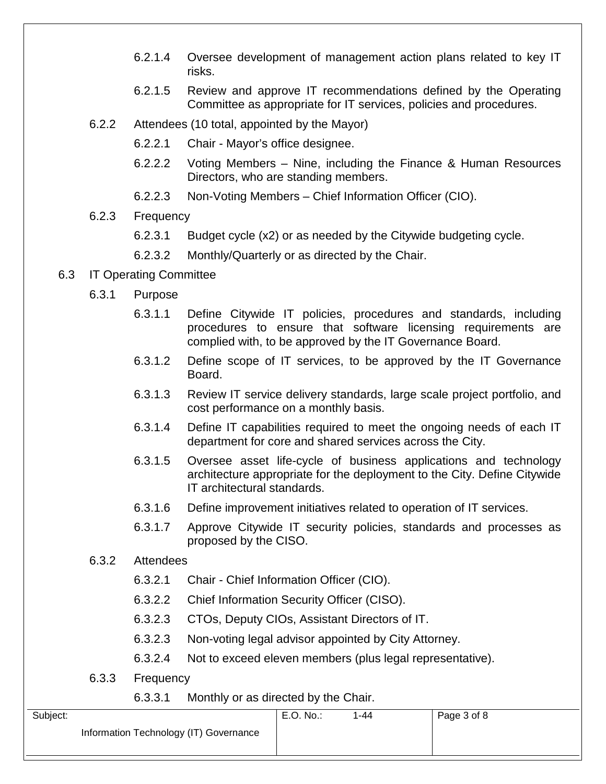- 6.2.1.4 Oversee development of management action plans related to key IT risks.
- 6.2.1.5 Review and approve IT recommendations defined by the Operating Committee as appropriate for IT services, policies and procedures.
- 6.2.2 Attendees (10 total, appointed by the Mayor)
	- 6.2.2.1 Chair Mayor's office designee.
	- 6.2.2.2 Voting Members Nine, including the Finance & Human Resources Directors, who are standing members.
	- 6.2.2.3 Non-Voting Members Chief Information Officer (CIO).
- 6.2.3 Frequency
	- 6.2.3.1 Budget cycle (x2) or as needed by the Citywide budgeting cycle.
	- 6.2.3.2 Monthly/Quarterly or as directed by the Chair.
- 6.3 IT Operating Committee
	- 6.3.1 Purpose
		- 6.3.1.1 Define Citywide IT policies, procedures and standards, including procedures to ensure that software licensing requirements are complied with, to be approved by the IT Governance Board.
		- 6.3.1.2 Define scope of IT services, to be approved by the IT Governance Board.
		- 6.3.1.3 Review IT service delivery standards, large scale project portfolio, and cost performance on a monthly basis.
		- 6.3.1.4 Define IT capabilities required to meet the ongoing needs of each IT department for core and shared services across the City.
		- 6.3.1.5 Oversee asset life-cycle of business applications and technology architecture appropriate for the deployment to the City. Define Citywide IT architectural standards.
		- 6.3.1.6 Define improvement initiatives related to operation of IT services.
		- 6.3.1.7 Approve Citywide IT security policies, standards and processes as proposed by the CISO.
	- 6.3.2 Attendees
		- 6.3.2.1 Chair Chief Information Officer (CIO).
		- 6.3.2.2 Chief Information Security Officer (CISO).
		- 6.3.2.3 CTOs, Deputy CIOs, Assistant Directors of IT.
		- 6.3.2.3 Non-voting legal advisor appointed by City Attorney.
		- 6.3.2.4 Not to exceed eleven members (plus legal representative).
	- 6.3.3 Frequency

#### 6.3.3.1 Monthly or as directed by the Chair.

| Subject:                               | E.O. No. | $1 - 44$ | Page 3 of 8 |
|----------------------------------------|----------|----------|-------------|
| Information Technology (IT) Governance |          |          |             |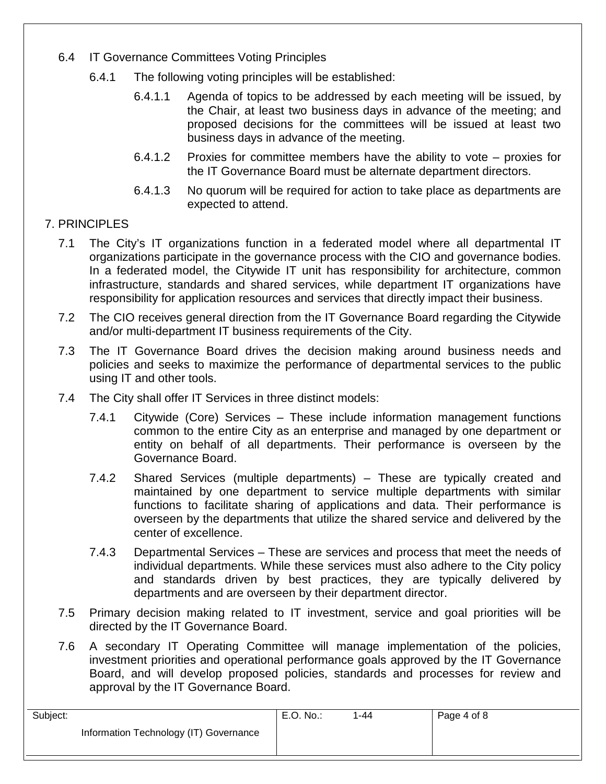- 6.4 IT Governance Committees Voting Principles
	- 6.4.1 The following voting principles will be established:
		- 6.4.1.1 Agenda of topics to be addressed by each meeting will be issued, by the Chair, at least two business days in advance of the meeting; and proposed decisions for the committees will be issued at least two business days in advance of the meeting.
		- 6.4.1.2 Proxies for committee members have the ability to vote proxies for the IT Governance Board must be alternate department directors.
		- 6.4.1.3 No quorum will be required for action to take place as departments are expected to attend.
- 7. PRINCIPLES
	- 7.1 The City's IT organizations function in a federated model where all departmental IT organizations participate in the governance process with the CIO and governance bodies. In a federated model, the Citywide IT unit has responsibility for architecture, common infrastructure, standards and shared services, while department IT organizations have responsibility for application resources and services that directly impact their business.
	- 7.2 The CIO receives general direction from the IT Governance Board regarding the Citywide and/or multi-department IT business requirements of the City.
	- 7.3 The IT Governance Board drives the decision making around business needs and policies and seeks to maximize the performance of departmental services to the public using IT and other tools.
	- 7.4 The City shall offer IT Services in three distinct models:
		- 7.4.1 Citywide (Core) Services These include information management functions common to the entire City as an enterprise and managed by one department or entity on behalf of all departments. Their performance is overseen by the Governance Board.
		- 7.4.2 Shared Services (multiple departments) These are typically created and maintained by one department to service multiple departments with similar functions to facilitate sharing of applications and data. Their performance is overseen by the departments that utilize the shared service and delivered by the center of excellence.
		- 7.4.3 Departmental Services These are services and process that meet the needs of individual departments. While these services must also adhere to the City policy and standards driven by best practices, they are typically delivered by departments and are overseen by their department director.
	- 7.5 Primary decision making related to IT investment, service and goal priorities will be directed by the IT Governance Board.
	- 7.6 A secondary IT Operating Committee will manage implementation of the policies, investment priorities and operational performance goals approved by the IT Governance Board, and will develop proposed policies, standards and processes for review and approval by the IT Governance Board.

| Subject:                               | E.O. No. | $1 - 44$ | Page 4 of 8 |
|----------------------------------------|----------|----------|-------------|
| Information Technology (IT) Governance |          |          |             |
|                                        |          |          |             |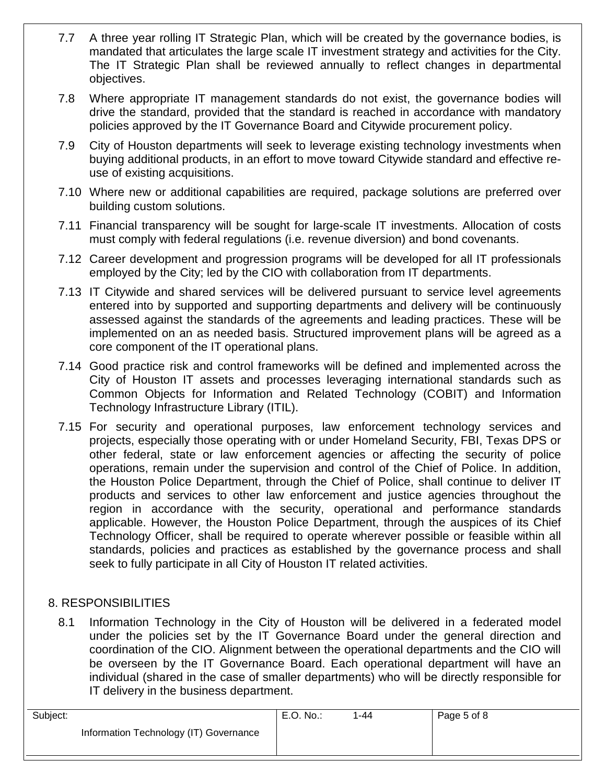- 7.7 A three year rolling IT Strategic Plan, which will be created by the governance bodies, is mandated that articulates the large scale IT investment strategy and activities for the City. The IT Strategic Plan shall be reviewed annually to reflect changes in departmental objectives.
- 7.8 Where appropriate IT management standards do not exist, the governance bodies will drive the standard, provided that the standard is reached in accordance with mandatory policies approved by the IT Governance Board and Citywide procurement policy.
- 7.9 City of Houston departments will seek to leverage existing technology investments when buying additional products, in an effort to move toward Citywide standard and effective reuse of existing acquisitions.
- 7.10 Where new or additional capabilities are required, package solutions are preferred over building custom solutions.
- 7.11 Financial transparency will be sought for large-scale IT investments. Allocation of costs must comply with federal regulations (i.e. revenue diversion) and bond covenants.
- 7.12 Career development and progression programs will be developed for all IT professionals employed by the City; led by the CIO with collaboration from IT departments.
- 7.13 IT Citywide and shared services will be delivered pursuant to service level agreements entered into by supported and supporting departments and delivery will be continuously assessed against the standards of the agreements and leading practices. These will be implemented on an as needed basis. Structured improvement plans will be agreed as a core component of the IT operational plans.
- 7.14 Good practice risk and control frameworks will be defined and implemented across the City of Houston IT assets and processes leveraging international standards such as Common Objects for Information and Related Technology (COBIT) and Information Technology Infrastructure Library (ITIL).
- 7.15 For security and operational purposes, law enforcement technology services and projects, especially those operating with or under Homeland Security, FBI, Texas DPS or other federal, state or law enforcement agencies or affecting the security of police operations, remain under the supervision and control of the Chief of Police. In addition, the Houston Police Department, through the Chief of Police, shall continue to deliver IT products and services to other law enforcement and justice agencies throughout the region in accordance with the security, operational and performance standards applicable. However, the Houston Police Department, through the auspices of its Chief Technology Officer, shall be required to operate wherever possible or feasible within all standards, policies and practices as established by the governance process and shall seek to fully participate in all City of Houston IT related activities.

## 8. RESPONSIBILITIES

8.1 Information Technology in the City of Houston will be delivered in a federated model under the policies set by the IT Governance Board under the general direction and coordination of the CIO. Alignment between the operational departments and the CIO will be overseen by the IT Governance Board. Each operational department will have an individual (shared in the case of smaller departments) who will be directly responsible for IT delivery in the business department.

| Subject:                               | E.O. No.: | 1-44 | Page 5 of 8 |
|----------------------------------------|-----------|------|-------------|
| Information Technology (IT) Governance |           |      |             |
|                                        |           |      |             |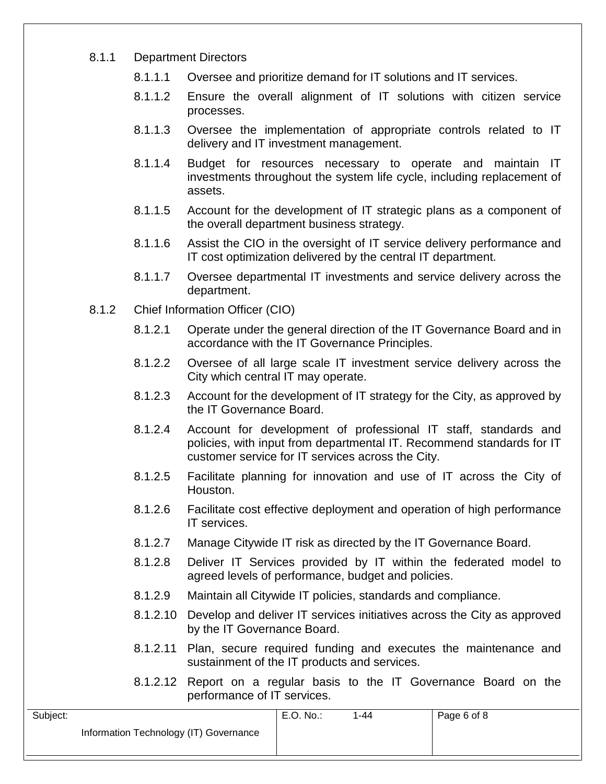#### 8.1.1 Department Directors

- 8.1.1.1 Oversee and prioritize demand for IT solutions and IT services.
- 8.1.1.2 Ensure the overall alignment of IT solutions with citizen service processes.
- 8.1.1.3 Oversee the implementation of appropriate controls related to IT delivery and IT investment management.
- 8.1.1.4 Budget for resources necessary to operate and maintain IT investments throughout the system life cycle, including replacement of assets.
- 8.1.1.5 Account for the development of IT strategic plans as a component of the overall department business strategy.
- 8.1.1.6 Assist the CIO in the oversight of IT service delivery performance and IT cost optimization delivered by the central IT department.
- 8.1.1.7 Oversee departmental IT investments and service delivery across the department.
- 8.1.2 Chief Information Officer (CIO)
	- 8.1.2.1 Operate under the general direction of the IT Governance Board and in accordance with the IT Governance Principles.
	- 8.1.2.2 Oversee of all large scale IT investment service delivery across the City which central IT may operate.
	- 8.1.2.3 Account for the development of IT strategy for the City, as approved by the IT Governance Board.
	- 8.1.2.4 Account for development of professional IT staff, standards and policies, with input from departmental IT. Recommend standards for IT customer service for IT services across the City.
	- 8.1.2.5 Facilitate planning for innovation and use of IT across the City of Houston.
	- 8.1.2.6 Facilitate cost effective deployment and operation of high performance IT services.
	- 8.1.2.7 Manage Citywide IT risk as directed by the IT Governance Board.
	- 8.1.2.8 Deliver IT Services provided by IT within the federated model to agreed levels of performance, budget and policies.
	- 8.1.2.9 Maintain all Citywide IT policies, standards and compliance.
	- 8.1.2.10 Develop and deliver IT services initiatives across the City as approved by the IT Governance Board.
	- 8.1.2.11 Plan, secure required funding and executes the maintenance and sustainment of the IT products and services.
	- 8.1.2.12 Report on a regular basis to the IT Governance Board on the performance of IT services.

| Subject:                               | E.O. No.: | -44 | Page 6 of 8 |
|----------------------------------------|-----------|-----|-------------|
| Information Technology (IT) Governance |           |     |             |
|                                        |           |     |             |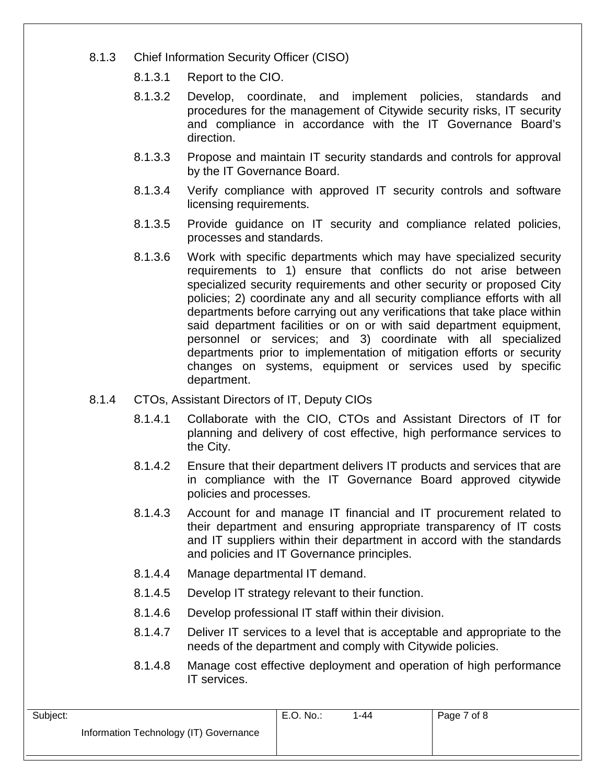- 8.1.3 Chief Information Security Officer (CISO)
	- 8.1.3.1 Report to the CIO.
	- 8.1.3.2 Develop, coordinate, and implement policies, standards and procedures for the management of Citywide security risks, IT security and compliance in accordance with the IT Governance Board's direction.
	- 8.1.3.3 Propose and maintain IT security standards and controls for approval by the IT Governance Board.
	- 8.1.3.4 Verify compliance with approved IT security controls and software licensing requirements.
	- 8.1.3.5 Provide guidance on IT security and compliance related policies, processes and standards.
	- 8.1.3.6 Work with specific departments which may have specialized security requirements to 1) ensure that conflicts do not arise between specialized security requirements and other security or proposed City policies; 2) coordinate any and all security compliance efforts with all departments before carrying out any verifications that take place within said department facilities or on or with said department equipment, personnel or services; and 3) coordinate with all specialized departments prior to implementation of mitigation efforts or security changes on systems, equipment or services used by specific department.
- 8.1.4 CTOs, Assistant Directors of IT, Deputy CIOs
	- 8.1.4.1 Collaborate with the CIO, CTOs and Assistant Directors of IT for planning and delivery of cost effective, high performance services to the City.
	- 8.1.4.2 Ensure that their department delivers IT products and services that are in compliance with the IT Governance Board approved citywide policies and processes.
	- 8.1.4.3 Account for and manage IT financial and IT procurement related to their department and ensuring appropriate transparency of IT costs and IT suppliers within their department in accord with the standards and policies and IT Governance principles.
	- 8.1.4.4 Manage departmental IT demand.
	- 8.1.4.5 Develop IT strategy relevant to their function.
	- 8.1.4.6 Develop professional IT staff within their division.
	- 8.1.4.7 Deliver IT services to a level that is acceptable and appropriate to the needs of the department and comply with Citywide policies.
	- 8.1.4.8 Manage cost effective deployment and operation of high performance IT services.

| Subject:                               | E.O. No.: | 1-44 | Page 7 of 8 |
|----------------------------------------|-----------|------|-------------|
| Information Technology (IT) Governance |           |      |             |
|                                        |           |      |             |